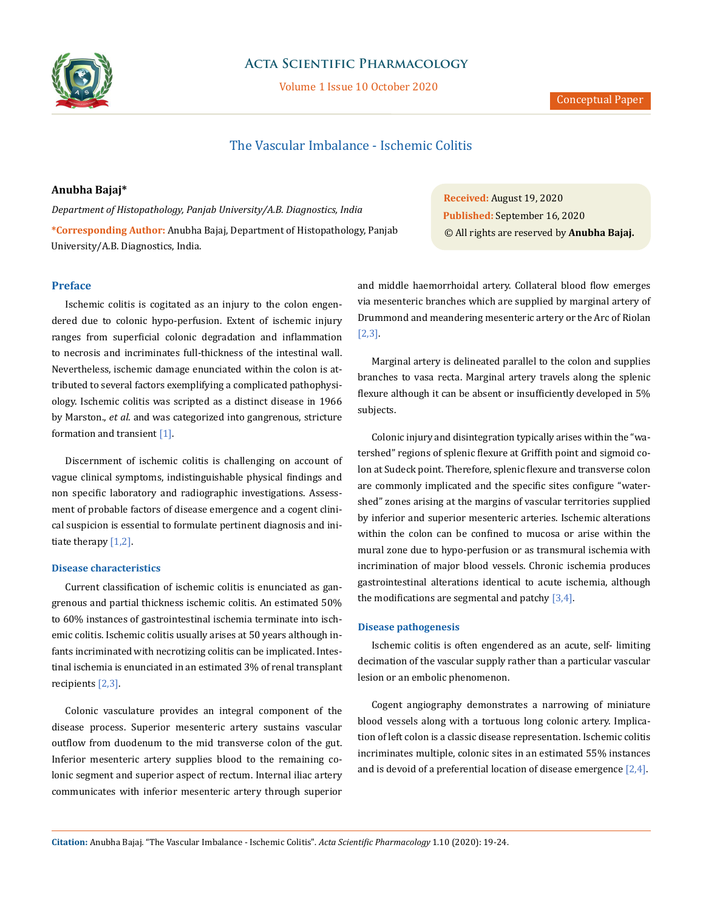

# **Acta Scientific Pharmacology**

Volume 1 Issue 10 October 2020

# The Vascular Imbalance - Ischemic Colitis

## **Anubha Bajaj\***

*Department of Histopathology, Panjab University/A.B. Diagnostics, India* **\*Corresponding Author:** Anubha Bajaj, Department of Histopathology, Panjab University/A.B. Diagnostics, India.

# **Preface**

Ischemic colitis is cogitated as an injury to the colon engendered due to colonic hypo-perfusion. Extent of ischemic injury ranges from superficial colonic degradation and inflammation to necrosis and incriminates full-thickness of the intestinal wall. Nevertheless, ischemic damage enunciated within the colon is attributed to several factors exemplifying a complicated pathophysiology. Ischemic colitis was scripted as a distinct disease in 1966 by Marston., *et al*. and was categorized into gangrenous, stricture formation and transient [1].

Discernment of ischemic colitis is challenging on account of vague clinical symptoms, indistinguishable physical findings and non specific laboratory and radiographic investigations. Assessment of probable factors of disease emergence and a cogent clinical suspicion is essential to formulate pertinent diagnosis and initiate therapy [1,2].

# **Disease characteristics**

Current classification of ischemic colitis is enunciated as gangrenous and partial thickness ischemic colitis. An estimated 50% to 60% instances of gastrointestinal ischemia terminate into ischemic colitis. Ischemic colitis usually arises at 50 years although infants incriminated with necrotizing colitis can be implicated. Intestinal ischemia is enunciated in an estimated 3% of renal transplant recipients [2,3].

Colonic vasculature provides an integral component of the disease process. Superior mesenteric artery sustains vascular outflow from duodenum to the mid transverse colon of the gut. Inferior mesenteric artery supplies blood to the remaining colonic segment and superior aspect of rectum. Internal iliac artery communicates with inferior mesenteric artery through superior

**Received:** August 19, 2020 **Published:** September 16, 2020 © All rights are reserved by **Anubha Bajaj.**

and middle haemorrhoidal artery. Collateral blood flow emerges via mesenteric branches which are supplied by marginal artery of Drummond and meandering mesenteric artery or the Arc of Riolan [2,3].

Marginal artery is delineated parallel to the colon and supplies branches to vasa recta. Marginal artery travels along the splenic flexure although it can be absent or insufficiently developed in 5% subjects.

Colonic injury and disintegration typically arises within the "watershed" regions of splenic flexure at Griffith point and sigmoid colon at Sudeck point. Therefore, splenic flexure and transverse colon are commonly implicated and the specific sites configure "watershed" zones arising at the margins of vascular territories supplied by inferior and superior mesenteric arteries. Ischemic alterations within the colon can be confined to mucosa or arise within the mural zone due to hypo-perfusion or as transmural ischemia with incrimination of major blood vessels. Chronic ischemia produces gastrointestinal alterations identical to acute ischemia, although the modifications are segmental and patchy  $[3,4]$ .

### **Disease pathogenesis**

Ischemic colitis is often engendered as an acute, self- limiting decimation of the vascular supply rather than a particular vascular lesion or an embolic phenomenon.

Cogent angiography demonstrates a narrowing of miniature blood vessels along with a tortuous long colonic artery. Implication of left colon is a classic disease representation. Ischemic colitis incriminates multiple, colonic sites in an estimated 55% instances and is devoid of a preferential location of disease emergence [2,4].

**Citation:** Anubha Bajaj*.* "The Vascular Imbalance - Ischemic Colitis". *Acta Scientific Pharmacology* 1.10 (2020): 19-24.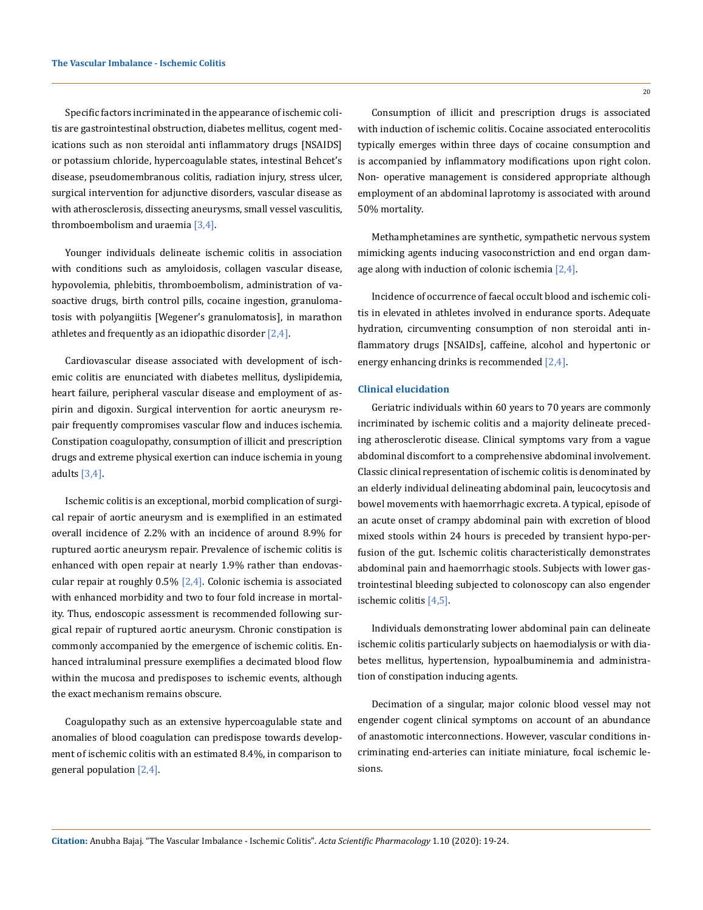Specific factors incriminated in the appearance of ischemic colitis are gastrointestinal obstruction, diabetes mellitus, cogent medications such as non steroidal anti inflammatory drugs [NSAIDS] or potassium chloride, hypercoagulable states, intestinal Behcet's disease, pseudomembranous colitis, radiation injury, stress ulcer, surgical intervention for adjunctive disorders, vascular disease as with atherosclerosis, dissecting aneurysms, small vessel vasculitis, thromboembolism and uraemia [3,4].

Younger individuals delineate ischemic colitis in association with conditions such as amyloidosis, collagen vascular disease, hypovolemia, phlebitis, thromboembolism, administration of vasoactive drugs, birth control pills, cocaine ingestion, granulomatosis with polyangiitis [Wegener's granulomatosis], in marathon athletes and frequently as an idiopathic disorder  $[2,4]$ .

Cardiovascular disease associated with development of ischemic colitis are enunciated with diabetes mellitus, dyslipidemia, heart failure, peripheral vascular disease and employment of aspirin and digoxin. Surgical intervention for aortic aneurysm repair frequently compromises vascular flow and induces ischemia. Constipation coagulopathy, consumption of illicit and prescription drugs and extreme physical exertion can induce ischemia in young adults [3,4].

Ischemic colitis is an exceptional, morbid complication of surgical repair of aortic aneurysm and is exemplified in an estimated overall incidence of 2.2% with an incidence of around 8.9% for ruptured aortic aneurysm repair. Prevalence of ischemic colitis is enhanced with open repair at nearly 1.9% rather than endovascular repair at roughly  $0.5\%$   $[2,4]$ . Colonic ischemia is associated with enhanced morbidity and two to four fold increase in mortality. Thus, endoscopic assessment is recommended following surgical repair of ruptured aortic aneurysm. Chronic constipation is commonly accompanied by the emergence of ischemic colitis. Enhanced intraluminal pressure exemplifies a decimated blood flow within the mucosa and predisposes to ischemic events, although the exact mechanism remains obscure.

Coagulopathy such as an extensive hypercoagulable state and anomalies of blood coagulation can predispose towards development of ischemic colitis with an estimated 8.4%, in comparison to general population [2,4].

Consumption of illicit and prescription drugs is associated with induction of ischemic colitis. Cocaine associated enterocolitis typically emerges within three days of cocaine consumption and is accompanied by inflammatory modifications upon right colon. Non- operative management is considered appropriate although employment of an abdominal laprotomy is associated with around 50% mortality.

Methamphetamines are synthetic, sympathetic nervous system mimicking agents inducing vasoconstriction and end organ damage along with induction of colonic ischemia  $[2,4]$ .

Incidence of occurrence of faecal occult blood and ischemic colitis in elevated in athletes involved in endurance sports. Adequate hydration, circumventing consumption of non steroidal anti inflammatory drugs [NSAIDs], caffeine, alcohol and hypertonic or energy enhancing drinks is recommended [2,4].

## **Clinical elucidation**

Geriatric individuals within 60 years to 70 years are commonly incriminated by ischemic colitis and a majority delineate preceding atherosclerotic disease. Clinical symptoms vary from a vague abdominal discomfort to a comprehensive abdominal involvement. Classic clinical representation of ischemic colitis is denominated by an elderly individual delineating abdominal pain, leucocytosis and bowel movements with haemorrhagic excreta. A typical, episode of an acute onset of crampy abdominal pain with excretion of blood mixed stools within 24 hours is preceded by transient hypo-perfusion of the gut. Ischemic colitis characteristically demonstrates abdominal pain and haemorrhagic stools. Subjects with lower gastrointestinal bleeding subjected to colonoscopy can also engender ischemic colitis [4,5].

Individuals demonstrating lower abdominal pain can delineate ischemic colitis particularly subjects on haemodialysis or with diabetes mellitus, hypertension, hypoalbuminemia and administration of constipation inducing agents.

Decimation of a singular, major colonic blood vessel may not engender cogent clinical symptoms on account of an abundance of anastomotic interconnections. However, vascular conditions incriminating end-arteries can initiate miniature, focal ischemic lesions.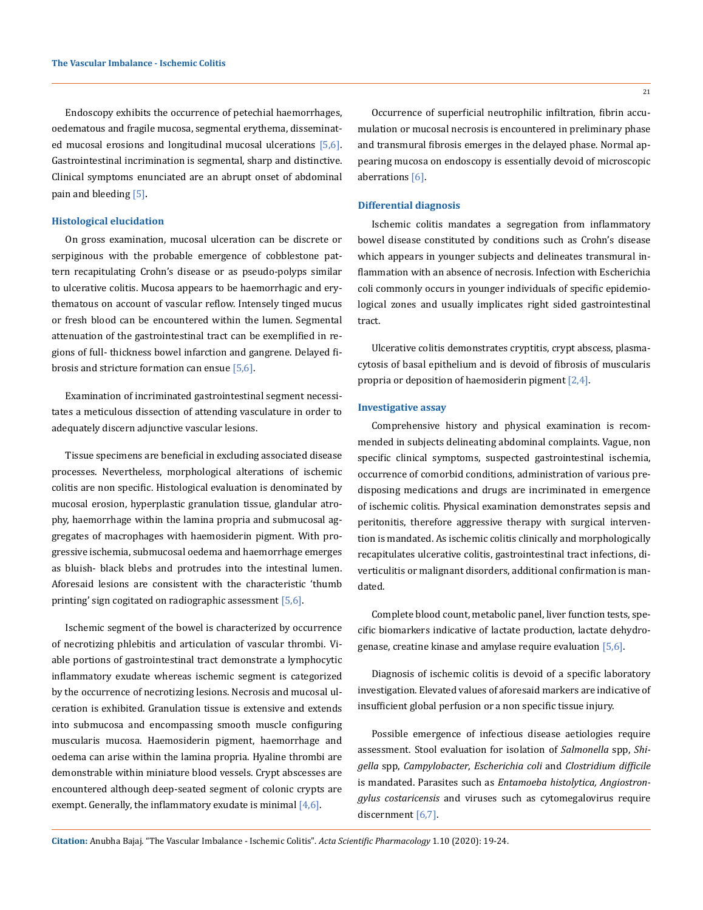Endoscopy exhibits the occurrence of petechial haemorrhages, oedematous and fragile mucosa, segmental erythema, disseminated mucosal erosions and longitudinal mucosal ulcerations [5,6]. Gastrointestinal incrimination is segmental, sharp and distinctive. Clinical symptoms enunciated are an abrupt onset of abdominal pain and bleeding [5].

### **Histological elucidation**

On gross examination, mucosal ulceration can be discrete or serpiginous with the probable emergence of cobblestone pattern recapitulating Crohn's disease or as pseudo-polyps similar to ulcerative colitis. Mucosa appears to be haemorrhagic and erythematous on account of vascular reflow. Intensely tinged mucus or fresh blood can be encountered within the lumen. Segmental attenuation of the gastrointestinal tract can be exemplified in regions of full- thickness bowel infarction and gangrene. Delayed fibrosis and stricture formation can ensue [5,6].

Examination of incriminated gastrointestinal segment necessitates a meticulous dissection of attending vasculature in order to adequately discern adjunctive vascular lesions.

Tissue specimens are beneficial in excluding associated disease processes. Nevertheless, morphological alterations of ischemic colitis are non specific. Histological evaluation is denominated by mucosal erosion, hyperplastic granulation tissue, glandular atrophy, haemorrhage within the lamina propria and submucosal aggregates of macrophages with haemosiderin pigment. With progressive ischemia, submucosal oedema and haemorrhage emerges as bluish- black blebs and protrudes into the intestinal lumen. Aforesaid lesions are consistent with the characteristic 'thumb printing' sign cogitated on radiographic assessment [5,6].

Ischemic segment of the bowel is characterized by occurrence of necrotizing phlebitis and articulation of vascular thrombi. Viable portions of gastrointestinal tract demonstrate a lymphocytic inflammatory exudate whereas ischemic segment is categorized by the occurrence of necrotizing lesions. Necrosis and mucosal ulceration is exhibited. Granulation tissue is extensive and extends into submucosa and encompassing smooth muscle configuring muscularis mucosa. Haemosiderin pigment, haemorrhage and oedema can arise within the lamina propria. Hyaline thrombi are demonstrable within miniature blood vessels. Crypt abscesses are encountered although deep-seated segment of colonic crypts are exempt. Generally, the inflammatory exudate is minimal  $[4,6]$ .

Occurrence of superficial neutrophilic infiltration, fibrin accumulation or mucosal necrosis is encountered in preliminary phase and transmural fibrosis emerges in the delayed phase. Normal appearing mucosa on endoscopy is essentially devoid of microscopic aberrations [6].

### **Differential diagnosis**

Ischemic colitis mandates a segregation from inflammatory bowel disease constituted by conditions such as Crohn's disease which appears in younger subjects and delineates transmural inflammation with an absence of necrosis. Infection with Escherichia coli commonly occurs in younger individuals of specific epidemiological zones and usually implicates right sided gastrointestinal tract.

Ulcerative colitis demonstrates cryptitis, crypt abscess, plasmacytosis of basal epithelium and is devoid of fibrosis of muscularis propria or deposition of haemosiderin pigment  $[2,4]$ .

#### **Investigative assay**

Comprehensive history and physical examination is recommended in subjects delineating abdominal complaints. Vague, non specific clinical symptoms, suspected gastrointestinal ischemia, occurrence of comorbid conditions, administration of various predisposing medications and drugs are incriminated in emergence of ischemic colitis. Physical examination demonstrates sepsis and peritonitis, therefore aggressive therapy with surgical intervention is mandated. As ischemic colitis clinically and morphologically recapitulates ulcerative colitis, gastrointestinal tract infections, diverticulitis or malignant disorders, additional confirmation is mandated.

Complete blood count, metabolic panel, liver function tests, specific biomarkers indicative of lactate production, lactate dehydrogenase, creatine kinase and amylase require evaluation [5,6].

Diagnosis of ischemic colitis is devoid of a specific laboratory investigation. Elevated values of aforesaid markers are indicative of insufficient global perfusion or a non specific tissue injury.

Possible emergence of infectious disease aetiologies require assessment. Stool evaluation for isolation of *Salmonella* spp, *Shigella* spp, *Campylobacter*, *Escherichia coli* and *Clostridium difficile* is mandated. Parasites such as *Entamoeba histolytica, Angiostrongylus costaricensis* and viruses such as cytomegalovirus require discernment [6,7].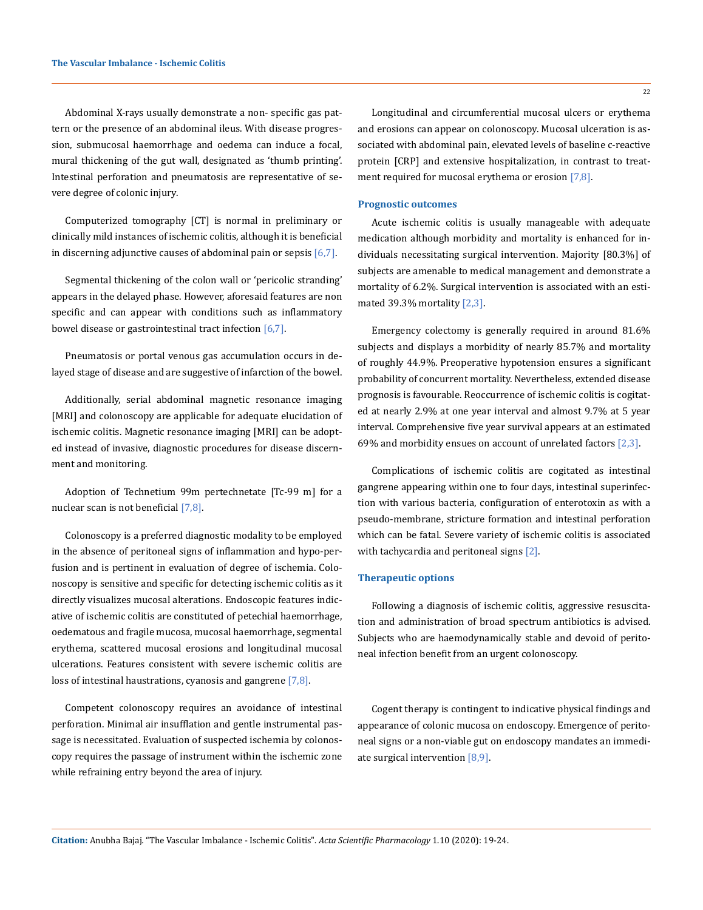Abdominal X-rays usually demonstrate a non- specific gas pattern or the presence of an abdominal ileus. With disease progression, submucosal haemorrhage and oedema can induce a focal, mural thickening of the gut wall, designated as 'thumb printing'. Intestinal perforation and pneumatosis are representative of severe degree of colonic injury.

Computerized tomography [CT] is normal in preliminary or clinically mild instances of ischemic colitis, although it is beneficial in discerning adjunctive causes of abdominal pain or sepsis  $[6,7]$ .

Segmental thickening of the colon wall or 'pericolic stranding' appears in the delayed phase. However, aforesaid features are non specific and can appear with conditions such as inflammatory bowel disease or gastrointestinal tract infection  $[6,7]$ .

Pneumatosis or portal venous gas accumulation occurs in delayed stage of disease and are suggestive of infarction of the bowel.

Additionally, serial abdominal magnetic resonance imaging [MRI] and colonoscopy are applicable for adequate elucidation of ischemic colitis. Magnetic resonance imaging [MRI] can be adopted instead of invasive, diagnostic procedures for disease discernment and monitoring.

Adoption of Technetium 99m pertechnetate [Tc-99 m] for a nuclear scan is not beneficial [7,8].

Colonoscopy is a preferred diagnostic modality to be employed in the absence of peritoneal signs of inflammation and hypo-perfusion and is pertinent in evaluation of degree of ischemia. Colonoscopy is sensitive and specific for detecting ischemic colitis as it directly visualizes mucosal alterations. Endoscopic features indicative of ischemic colitis are constituted of petechial haemorrhage, oedematous and fragile mucosa, mucosal haemorrhage, segmental erythema, scattered mucosal erosions and longitudinal mucosal ulcerations. Features consistent with severe ischemic colitis are loss of intestinal haustrations, cyanosis and gangrene [7,8].

Competent colonoscopy requires an avoidance of intestinal perforation. Minimal air insufflation and gentle instrumental passage is necessitated. Evaluation of suspected ischemia by colonoscopy requires the passage of instrument within the ischemic zone while refraining entry beyond the area of injury.

22

Longitudinal and circumferential mucosal ulcers or erythema and erosions can appear on colonoscopy. Mucosal ulceration is associated with abdominal pain, elevated levels of baseline c-reactive protein [CRP] and extensive hospitalization, in contrast to treatment required for mucosal erythema or erosion [7,8].

#### **Prognostic outcomes**

Acute ischemic colitis is usually manageable with adequate medication although morbidity and mortality is enhanced for individuals necessitating surgical intervention. Majority [80.3%] of subjects are amenable to medical management and demonstrate a mortality of 6.2%. Surgical intervention is associated with an estimated 39.3% mortality [2,3].

Emergency colectomy is generally required in around 81.6% subjects and displays a morbidity of nearly 85.7% and mortality of roughly 44.9%. Preoperative hypotension ensures a significant probability of concurrent mortality. Nevertheless, extended disease prognosis is favourable. Reoccurrence of ischemic colitis is cogitated at nearly 2.9% at one year interval and almost 9.7% at 5 year interval. Comprehensive five year survival appears at an estimated 69% and morbidity ensues on account of unrelated factors [2,3].

Complications of ischemic colitis are cogitated as intestinal gangrene appearing within one to four days, intestinal superinfection with various bacteria, configuration of enterotoxin as with a pseudo-membrane, stricture formation and intestinal perforation which can be fatal. Severe variety of ischemic colitis is associated with tachycardia and peritoneal signs [2].

#### **Therapeutic options**

Following a diagnosis of ischemic colitis, aggressive resuscitation and administration of broad spectrum antibiotics is advised. Subjects who are haemodynamically stable and devoid of peritoneal infection benefit from an urgent colonoscopy.

Cogent therapy is contingent to indicative physical findings and appearance of colonic mucosa on endoscopy. Emergence of peritoneal signs or a non-viable gut on endoscopy mandates an immediate surgical intervention [8,9].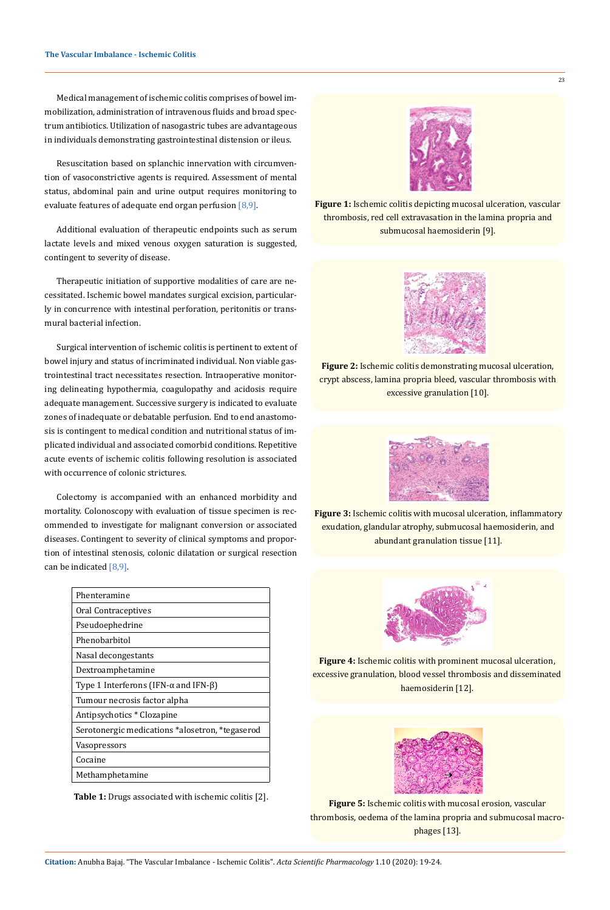Medical management of ischemic colitis comprises of bowel immobilization, administration of intravenous fluids and broad spectrum antibiotics. Utilization of nasogastric tubes are advantageous in individuals demonstrating gastrointestinal distension or ileus.

Resuscitation based on splanchic innervation with circumvention of vasoconstrictive agents is required. Assessment of mental status, abdominal pain and urine output requires monitoring to evaluate features of adequate end organ perfusion  $[8,9]$ .

Additional evaluation of therapeutic endpoints such as serum lactate levels and mixed venous oxygen saturation is suggested, contingent to severity of disease.

Therapeutic initiation of supportive modalities of care are necessitated. Ischemic bowel mandates surgical excision, particularly in concurrence with intestinal perforation, peritonitis or transmural bacterial infection.

Surgical intervention of ischemic colitis is pertinent to extent of bowel injury and status of incriminated individual. Non viable gastrointestinal tract necessitates resection. Intraoperative monitoring delineating hypothermia, coagulopathy and acidosis require adequate management. Successive surgery is indicated to evaluate zones of inadequate or debatable perfusion. End to end anastomosis is contingent to medical condition and nutritional status of implicated individual and associated comorbid conditions. Repetitive acute events of ischemic colitis following resolution is associated with occurrence of colonic strictures.

Colectomy is accompanied with an enhanced morbidity and mortality. Colonoscopy with evaluation of tissue specimen is recommended to investigate for malignant conversion or associated diseases. Contingent to severity of clinical symptoms and proportion of intestinal stenosis, colonic dilatation or surgical resection can be indicated  $[8,9]$ .

| Phenteramine                                         |
|------------------------------------------------------|
| Oral Contraceptives                                  |
| Pseudoephedrine                                      |
| Phenobarbitol                                        |
| Nasal decongestants                                  |
| Dextroamphetamine                                    |
| Type 1 Interferons (IFN- $\alpha$ and IFN- $\beta$ ) |
| Tumour necrosis factor alpha                         |
| Antipsychotics * Clozapine                           |
| Serotonergic medications *alosetron, *tegaserod      |
| Vasopressors                                         |
| Cocaine                                              |
| Methamphetamine                                      |

**Table 1:** Drugs associated with ischemic colitis [2].



**Figure 1:** Ischemic colitis depicting mucosal ulceration, vascular thrombosis, red cell extravasation in the lamina propria and submucosal haemosiderin [9].

**Figure 2:** Ischemic colitis demonstrating mucosal ulceration, crypt abscess, lamina propria bleed, vascular thrombosis with excessive granulation [10].



**Figure 3:** Ischemic colitis with mucosal ulceration, inflammatory exudation, glandular atrophy, submucosal haemosiderin, and abundant granulation tissue [11].



**Figure 4:** Ischemic colitis with prominent mucosal ulceration, excessive granulation, blood vessel thrombosis and disseminated haemosiderin [12].



**Figure 5:** Ischemic colitis with mucosal erosion, vascular thrombosis, oedema of the lamina propria and submucosal macrophages [13].